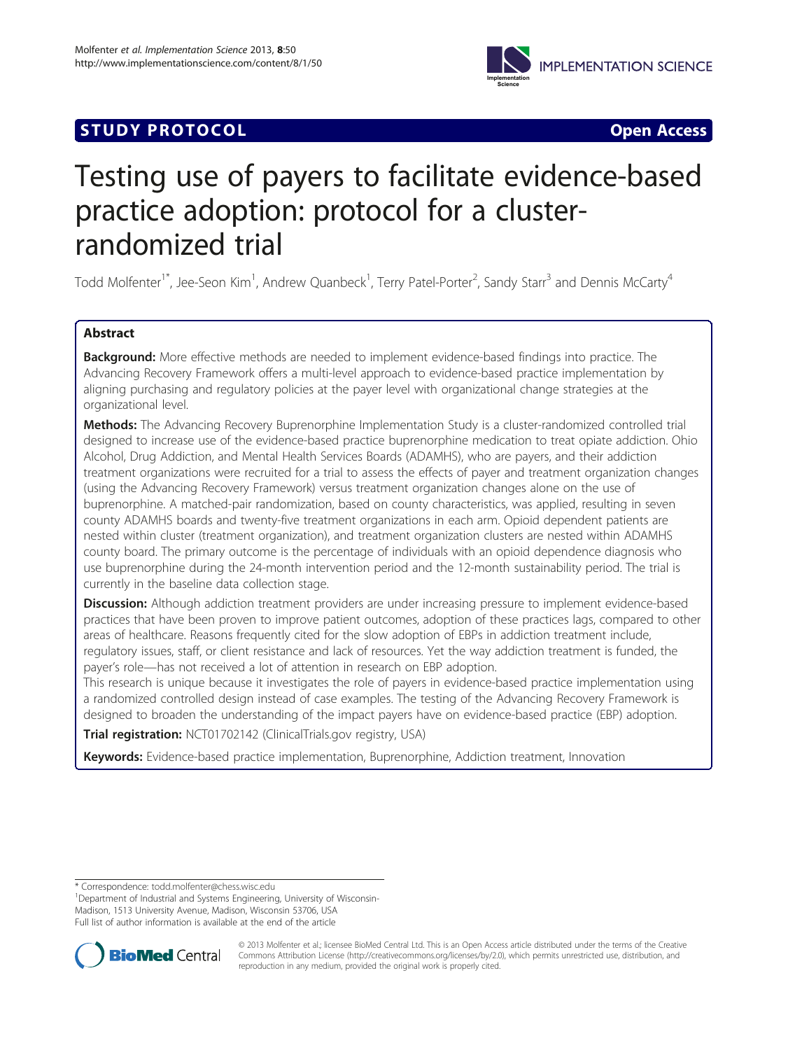

# **STUDY PROTOCOL** CONTROL CONTROL CONTROL CONTROL CONTROL CONTROL CONTROL CONTROL CONTROL CONTROL CONTROL CONTROL CONTROL CONTROL CONTROL CONTROL CONTROL CONTROL CONTROL CONTROL CONTROL CONTROL CONTROL CONTROL CONTROL CONTR

# Testing use of payers to facilitate evidence-based practice adoption: protocol for a clusterrandomized trial

Todd Molfenter<sup>1\*</sup>, Jee-Seon Kim<sup>1</sup>, Andrew Quanbeck<sup>1</sup>, Terry Patel-Porter<sup>2</sup>, Sandy Starr<sup>3</sup> and Dennis McCarty<sup>4</sup>

# Abstract

Background: More effective methods are needed to implement evidence-based findings into practice. The Advancing Recovery Framework offers a multi-level approach to evidence-based practice implementation by aligning purchasing and regulatory policies at the payer level with organizational change strategies at the organizational level.

Methods: The Advancing Recovery Buprenorphine Implementation Study is a cluster-randomized controlled trial designed to increase use of the evidence-based practice buprenorphine medication to treat opiate addiction. Ohio Alcohol, Drug Addiction, and Mental Health Services Boards (ADAMHS), who are payers, and their addiction treatment organizations were recruited for a trial to assess the effects of payer and treatment organization changes (using the Advancing Recovery Framework) versus treatment organization changes alone on the use of buprenorphine. A matched-pair randomization, based on county characteristics, was applied, resulting in seven county ADAMHS boards and twenty-five treatment organizations in each arm. Opioid dependent patients are nested within cluster (treatment organization), and treatment organization clusters are nested within ADAMHS county board. The primary outcome is the percentage of individuals with an opioid dependence diagnosis who use buprenorphine during the 24-month intervention period and the 12-month sustainability period. The trial is currently in the baseline data collection stage.

Discussion: Although addiction treatment providers are under increasing pressure to implement evidence-based practices that have been proven to improve patient outcomes, adoption of these practices lags, compared to other areas of healthcare. Reasons frequently cited for the slow adoption of EBPs in addiction treatment include, regulatory issues, staff, or client resistance and lack of resources. Yet the way addiction treatment is funded, the payer's role—has not received a lot of attention in research on EBP adoption.

This research is unique because it investigates the role of payers in evidence-based practice implementation using a randomized controlled design instead of case examples. The testing of the Advancing Recovery Framework is designed to broaden the understanding of the impact payers have on evidence-based practice (EBP) adoption.

Trial registration: [NCT01702142](http://www.clinicaltrials.gov/ct2/show/NCT01702142?term=NCT01702142&rank=1) (ClinicalTrials.gov registry, USA)

Keywords: Evidence-based practice implementation, Buprenorphine, Addiction treatment, Innovation

<sup>1</sup>Department of Industrial and Systems Engineering, University of Wisconsin-Madison, 1513 University Avenue, Madison, Wisconsin 53706, USA Full list of author information is available at the end of the article



© 2013 Molfenter et al.; licensee BioMed Central Ltd. This is an Open Access article distributed under the terms of the Creative Commons Attribution License [\(http://creativecommons.org/licenses/by/2.0\)](http://creativecommons.org/licenses/by/2.0), which permits unrestricted use, distribution, and reproduction in any medium, provided the original work is properly cited.

<sup>\*</sup> Correspondence: [todd.molfenter@chess.wisc.edu](mailto:todd.molfenter@chess.wisc.edu) <sup>1</sup>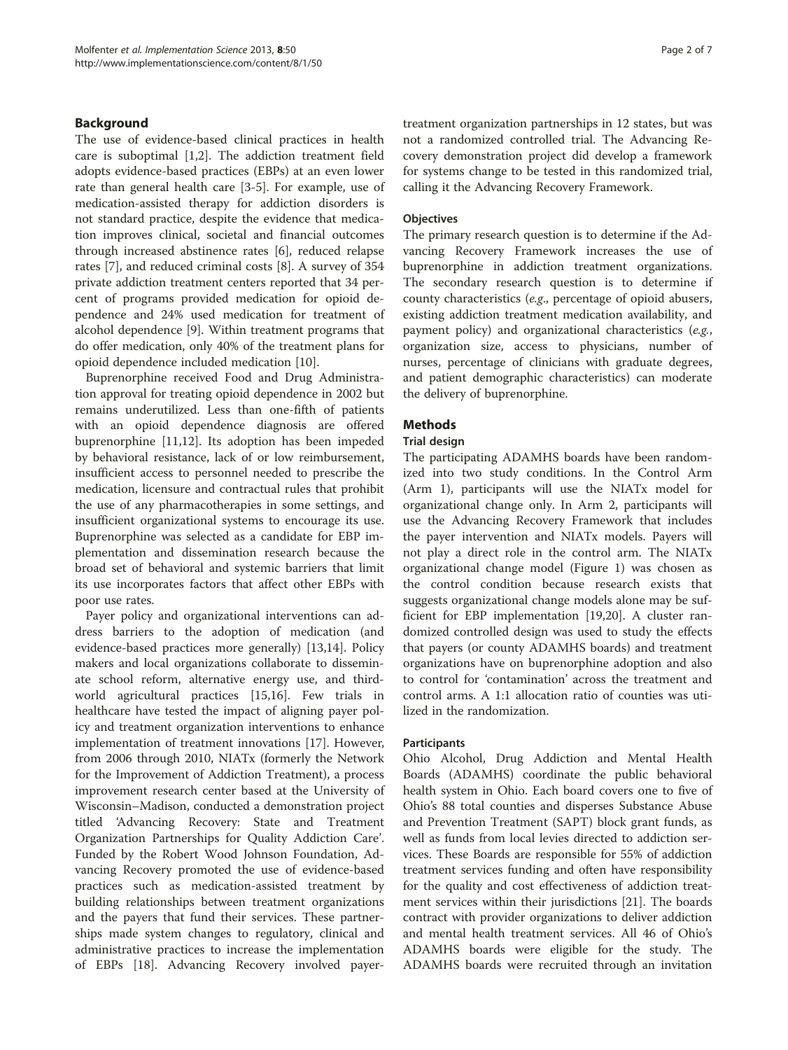# Background

The use of evidence-based clinical practices in health care is suboptimal [[1,2\]](#page-5-0). The addiction treatment field adopts evidence-based practices (EBPs) at an even lower rate than general health care [[3-5](#page-5-0)]. For example, use of medication-assisted therapy for addiction disorders is not standard practice, despite the evidence that medication improves clinical, societal and financial outcomes through increased abstinence rates [[6\]](#page-5-0), reduced relapse rates [\[7](#page-5-0)], and reduced criminal costs [\[8](#page-5-0)]. A survey of 354 private addiction treatment centers reported that 34 percent of programs provided medication for opioid dependence and 24% used medication for treatment of alcohol dependence [\[9\]](#page-5-0). Within treatment programs that do offer medication, only 40% of the treatment plans for opioid dependence included medication [\[10](#page-5-0)].

Buprenorphine received Food and Drug Administration approval for treating opioid dependence in 2002 but remains underutilized. Less than one-fifth of patients with an opioid dependence diagnosis are offered buprenorphine [\[11,12](#page-5-0)]. Its adoption has been impeded by behavioral resistance, lack of or low reimbursement, insufficient access to personnel needed to prescribe the medication, licensure and contractual rules that prohibit the use of any pharmacotherapies in some settings, and insufficient organizational systems to encourage its use. Buprenorphine was selected as a candidate for EBP implementation and dissemination research because the broad set of behavioral and systemic barriers that limit its use incorporates factors that affect other EBPs with poor use rates.

Payer policy and organizational interventions can address barriers to the adoption of medication (and evidence-based practices more generally) [[13,14\]](#page-6-0). Policy makers and local organizations collaborate to disseminate school reform, alternative energy use, and thirdworld agricultural practices [\[15,16](#page-6-0)]. Few trials in healthcare have tested the impact of aligning payer policy and treatment organization interventions to enhance implementation of treatment innovations [[17\]](#page-6-0). However, from 2006 through 2010, NIATx (formerly the Network for the Improvement of Addiction Treatment), a process improvement research center based at the University of Wisconsin–Madison, conducted a demonstration project titled 'Advancing Recovery: State and Treatment Organization Partnerships for Quality Addiction Care'. Funded by the Robert Wood Johnson Foundation, Advancing Recovery promoted the use of evidence-based practices such as medication-assisted treatment by building relationships between treatment organizations and the payers that fund their services. These partnerships made system changes to regulatory, clinical and administrative practices to increase the implementation of EBPs [[18\]](#page-6-0). Advancing Recovery involved payer-

treatment organization partnerships in 12 states, but was not a randomized controlled trial. The Advancing Recovery demonstration project did develop a framework for systems change to be tested in this randomized trial, calling it the Advancing Recovery Framework.

# **Objectives**

The primary research question is to determine if the Advancing Recovery Framework increases the use of buprenorphine in addiction treatment organizations. The secondary research question is to determine if county characteristics (e.g., percentage of opioid abusers, existing addiction treatment medication availability, and payment policy) and organizational characteristics (e.g., organization size, access to physicians, number of nurses, percentage of clinicians with graduate degrees, and patient demographic characteristics) can moderate the delivery of buprenorphine.

# **Methods**

### Trial design

The participating ADAMHS boards have been randomized into two study conditions. In the Control Arm (Arm 1), participants will use the NIATx model for organizational change only. In Arm 2, participants will use the Advancing Recovery Framework that includes the payer intervention and NIATx models. Payers will not play a direct role in the control arm. The NIATx organizational change model (Figure [1](#page-2-0)) was chosen as the control condition because research exists that suggests organizational change models alone may be sufficient for EBP implementation [[19,20\]](#page-6-0). A cluster randomized controlled design was used to study the effects that payers (or county ADAMHS boards) and treatment organizations have on buprenorphine adoption and also to control for 'contamination' across the treatment and control arms. A 1:1 allocation ratio of counties was utilized in the randomization.

# Participants

Ohio Alcohol, Drug Addiction and Mental Health Boards (ADAMHS) coordinate the public behavioral health system in Ohio. Each board covers one to five of Ohio's 88 total counties and disperses Substance Abuse and Prevention Treatment (SAPT) block grant funds, as well as funds from local levies directed to addiction services. These Boards are responsible for 55% of addiction treatment services funding and often have responsibility for the quality and cost effectiveness of addiction treatment services within their jurisdictions [\[21\]](#page-6-0). The boards contract with provider organizations to deliver addiction and mental health treatment services. All 46 of Ohio's ADAMHS boards were eligible for the study. The ADAMHS boards were recruited through an invitation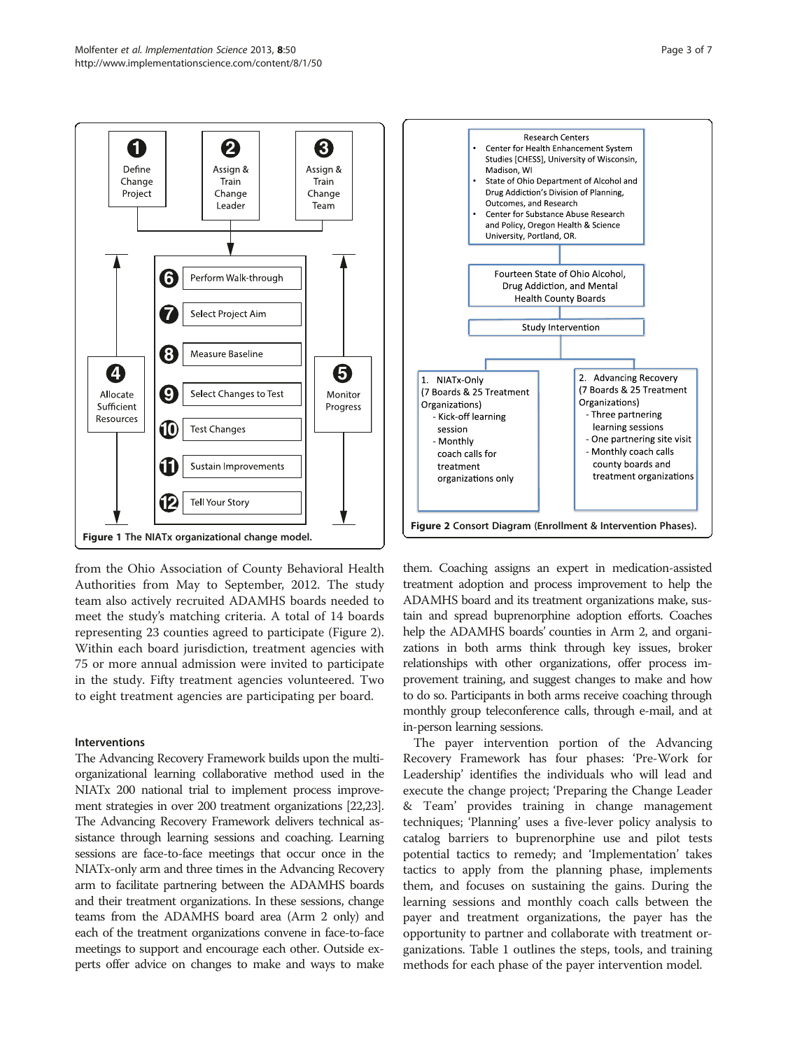<span id="page-2-0"></span>



#### Interventions

The Advancing Recovery Framework builds upon the multiorganizational learning collaborative method used in the NIATx 200 national trial to implement process improvement strategies in over 200 treatment organizations [\[22,23](#page-6-0)]. The Advancing Recovery Framework delivers technical assistance through learning sessions and coaching. Learning sessions are face-to-face meetings that occur once in the NIATx-only arm and three times in the Advancing Recovery arm to facilitate partnering between the ADAMHS boards and their treatment organizations. In these sessions, change teams from the ADAMHS board area (Arm 2 only) and each of the treatment organizations convene in face-to-face meetings to support and encourage each other. Outside experts offer advice on changes to make and ways to make



them. Coaching assigns an expert in medication-assisted treatment adoption and process improvement to help the ADAMHS board and its treatment organizations make, sustain and spread buprenorphine adoption efforts. Coaches help the ADAMHS boards' counties in Arm 2, and organizations in both arms think through key issues, broker relationships with other organizations, offer process improvement training, and suggest changes to make and how to do so. Participants in both arms receive coaching through monthly group teleconference calls, through e-mail, and at in-person learning sessions.

The payer intervention portion of the Advancing Recovery Framework has four phases: 'Pre-Work for Leadership' identifies the individuals who will lead and execute the change project; 'Preparing the Change Leader & Team' provides training in change management techniques; 'Planning' uses a five-lever policy analysis to catalog barriers to buprenorphine use and pilot tests potential tactics to remedy; and 'Implementation' takes tactics to apply from the planning phase, implements them, and focuses on sustaining the gains. During the learning sessions and monthly coach calls between the payer and treatment organizations, the payer has the opportunity to partner and collaborate with treatment organizations. Table [1](#page-3-0) outlines the steps, tools, and training methods for each phase of the payer intervention model.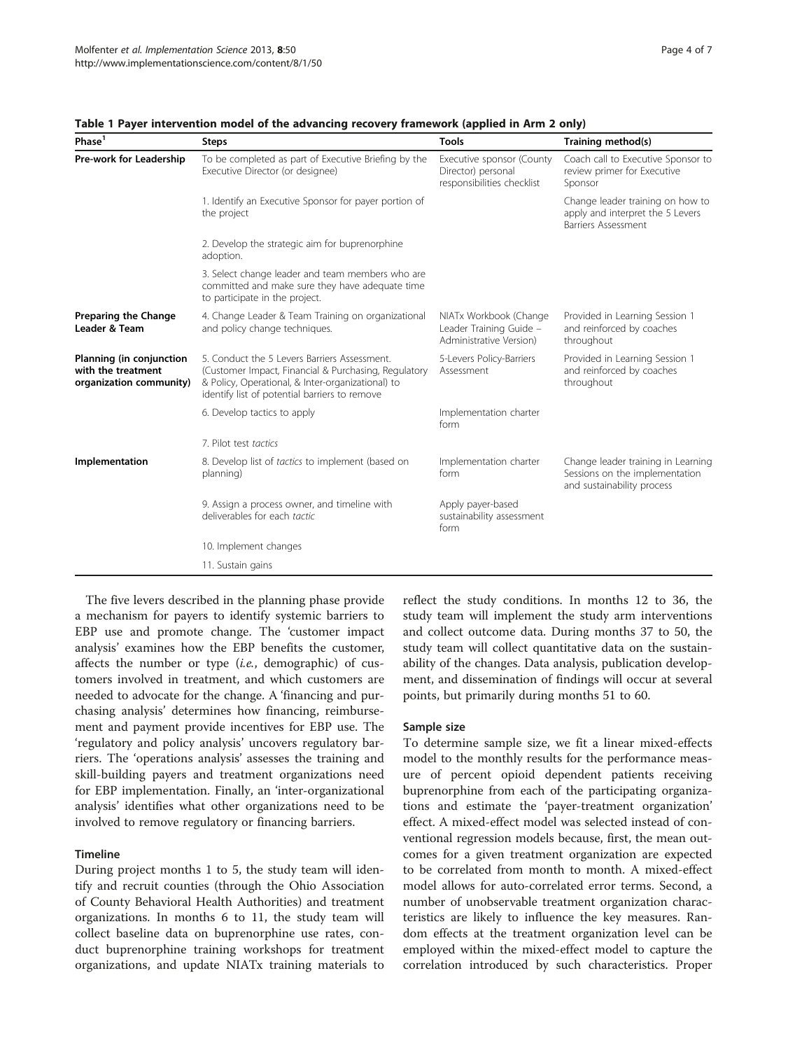| Phase <sup>1</sup>                                                        | <b>Steps</b>                                                                                                                                                                                               | <b>Tools</b>                                                                  | Training method(s)                                                                                 |
|---------------------------------------------------------------------------|------------------------------------------------------------------------------------------------------------------------------------------------------------------------------------------------------------|-------------------------------------------------------------------------------|----------------------------------------------------------------------------------------------------|
| Pre-work for Leadership                                                   | To be completed as part of Executive Briefing by the<br>Executive Director (or designee)                                                                                                                   | Executive sponsor (County<br>Director) personal<br>responsibilities checklist | Coach call to Executive Sponsor to<br>review primer for Executive<br>Sponsor                       |
|                                                                           | 1. Identify an Executive Sponsor for payer portion of<br>the project                                                                                                                                       |                                                                               | Change leader training on how to<br>apply and interpret the 5 Levers<br><b>Barriers Assessment</b> |
|                                                                           | 2. Develop the strategic aim for buprenorphine<br>adoption.                                                                                                                                                |                                                                               |                                                                                                    |
|                                                                           | 3. Select change leader and team members who are<br>committed and make sure they have adequate time<br>to participate in the project.                                                                      |                                                                               |                                                                                                    |
| <b>Preparing the Change</b><br>Leader & Team                              | 4. Change Leader & Team Training on organizational<br>and policy change techniques.                                                                                                                        | NIATx Workbook (Change<br>Leader Training Guide -<br>Administrative Version)  | Provided in Learning Session 1<br>and reinforced by coaches<br>throughout                          |
| Planning (in conjunction<br>with the treatment<br>organization community) | 5. Conduct the 5 Levers Barriers Assessment.<br>(Customer Impact, Financial & Purchasing, Regulatory<br>& Policy, Operational, & Inter-organizational) to<br>identify list of potential barriers to remove | 5-Levers Policy-Barriers<br>Assessment                                        | Provided in Learning Session 1<br>and reinforced by coaches<br>throughout                          |
|                                                                           | 6. Develop tactics to apply                                                                                                                                                                                | Implementation charter<br>form                                                |                                                                                                    |
|                                                                           | 7. Pilot test tactics                                                                                                                                                                                      |                                                                               |                                                                                                    |
| Implementation                                                            | 8. Develop list of <i>tactics</i> to implement (based on<br>planning)                                                                                                                                      | Implementation charter<br>form                                                | Change leader training in Learning<br>Sessions on the implementation<br>and sustainability process |
|                                                                           | 9. Assign a process owner, and timeline with<br>deliverables for each tactic                                                                                                                               | Apply payer-based<br>sustainability assessment<br>form                        |                                                                                                    |
|                                                                           | 10. Implement changes                                                                                                                                                                                      |                                                                               |                                                                                                    |
|                                                                           | 11. Sustain gains                                                                                                                                                                                          |                                                                               |                                                                                                    |

<span id="page-3-0"></span>

| Table 1 Payer intervention model of the advancing recovery framework (applied in Arm 2 only) |  |  |  |
|----------------------------------------------------------------------------------------------|--|--|--|
|----------------------------------------------------------------------------------------------|--|--|--|

The five levers described in the planning phase provide a mechanism for payers to identify systemic barriers to EBP use and promote change. The 'customer impact analysis' examines how the EBP benefits the customer, affects the number or type  $(i.e.,$  demographic) of customers involved in treatment, and which customers are needed to advocate for the change. A 'financing and purchasing analysis' determines how financing, reimbursement and payment provide incentives for EBP use. The 'regulatory and policy analysis' uncovers regulatory barriers. The 'operations analysis' assesses the training and skill-building payers and treatment organizations need for EBP implementation. Finally, an 'inter-organizational analysis' identifies what other organizations need to be involved to remove regulatory or financing barriers.

# Timeline

During project months 1 to 5, the study team will identify and recruit counties (through the Ohio Association of County Behavioral Health Authorities) and treatment organizations. In months 6 to 11, the study team will collect baseline data on buprenorphine use rates, conduct buprenorphine training workshops for treatment organizations, and update NIATx training materials to

reflect the study conditions. In months 12 to 36, the study team will implement the study arm interventions and collect outcome data. During months 37 to 50, the study team will collect quantitative data on the sustainability of the changes. Data analysis, publication development, and dissemination of findings will occur at several points, but primarily during months 51 to 60.

# Sample size

To determine sample size, we fit a linear mixed-effects model to the monthly results for the performance measure of percent opioid dependent patients receiving buprenorphine from each of the participating organizations and estimate the 'payer-treatment organization' effect. A mixed-effect model was selected instead of conventional regression models because, first, the mean outcomes for a given treatment organization are expected to be correlated from month to month. A mixed-effect model allows for auto-correlated error terms. Second, a number of unobservable treatment organization characteristics are likely to influence the key measures. Random effects at the treatment organization level can be employed within the mixed-effect model to capture the correlation introduced by such characteristics. Proper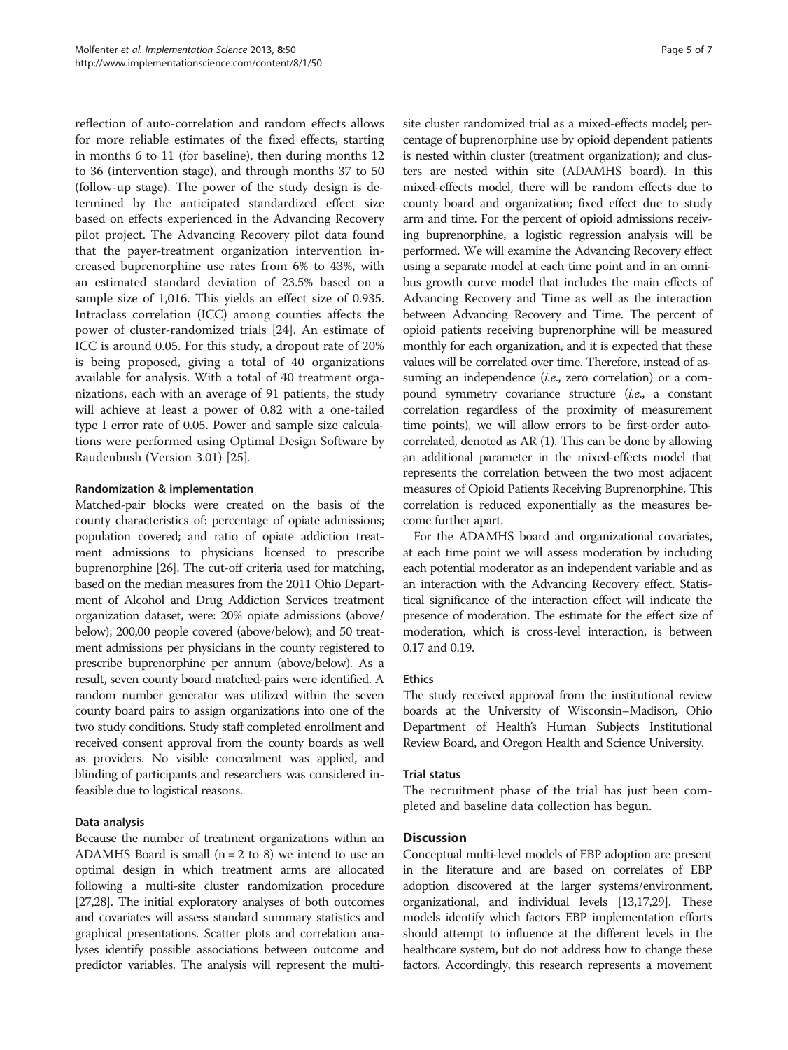reflection of auto-correlation and random effects allows for more reliable estimates of the fixed effects, starting in months 6 to 11 (for baseline), then during months 12 to 36 (intervention stage), and through months 37 to 50 (follow-up stage). The power of the study design is determined by the anticipated standardized effect size based on effects experienced in the Advancing Recovery pilot project. The Advancing Recovery pilot data found that the payer-treatment organization intervention increased buprenorphine use rates from 6% to 43%, with an estimated standard deviation of 23.5% based on a sample size of 1,016. This yields an effect size of 0.935. Intraclass correlation (ICC) among counties affects the power of cluster-randomized trials [[24\]](#page-6-0). An estimate of ICC is around 0.05. For this study, a dropout rate of 20% is being proposed, giving a total of 40 organizations available for analysis. With a total of 40 treatment organizations, each with an average of 91 patients, the study will achieve at least a power of 0.82 with a one-tailed type I error rate of 0.05. Power and sample size calculations were performed using Optimal Design Software by Raudenbush (Version 3.01) [\[25](#page-6-0)].

# Randomization & implementation

Matched-pair blocks were created on the basis of the county characteristics of: percentage of opiate admissions; population covered; and ratio of opiate addiction treatment admissions to physicians licensed to prescribe buprenorphine [\[26\]](#page-6-0). The cut-off criteria used for matching, based on the median measures from the 2011 Ohio Department of Alcohol and Drug Addiction Services treatment organization dataset, were: 20% opiate admissions (above/ below); 200,00 people covered (above/below); and 50 treatment admissions per physicians in the county registered to prescribe buprenorphine per annum (above/below). As a result, seven county board matched-pairs were identified. A random number generator was utilized within the seven county board pairs to assign organizations into one of the two study conditions. Study staff completed enrollment and received consent approval from the county boards as well as providers. No visible concealment was applied, and blinding of participants and researchers was considered infeasible due to logistical reasons.

# Data analysis

Because the number of treatment organizations within an ADAMHS Board is small  $(n = 2$  to 8) we intend to use an optimal design in which treatment arms are allocated following a multi-site cluster randomization procedure [[27,28\]](#page-6-0). The initial exploratory analyses of both outcomes and covariates will assess standard summary statistics and graphical presentations. Scatter plots and correlation analyses identify possible associations between outcome and predictor variables. The analysis will represent the multi-

site cluster randomized trial as a mixed-effects model; percentage of buprenorphine use by opioid dependent patients is nested within cluster (treatment organization); and clusters are nested within site (ADAMHS board). In this mixed-effects model, there will be random effects due to county board and organization; fixed effect due to study arm and time. For the percent of opioid admissions receiving buprenorphine, a logistic regression analysis will be performed. We will examine the Advancing Recovery effect using a separate model at each time point and in an omnibus growth curve model that includes the main effects of Advancing Recovery and Time as well as the interaction between Advancing Recovery and Time. The percent of opioid patients receiving buprenorphine will be measured monthly for each organization, and it is expected that these values will be correlated over time. Therefore, instead of assuming an independence  $(i.e., zero correlation)$  or a compound symmetry covariance structure (i.e., a constant correlation regardless of the proximity of measurement time points), we will allow errors to be first-order autocorrelated, denoted as AR (1). This can be done by allowing an additional parameter in the mixed-effects model that represents the correlation between the two most adjacent measures of Opioid Patients Receiving Buprenorphine. This correlation is reduced exponentially as the measures become further apart.

For the ADAMHS board and organizational covariates, at each time point we will assess moderation by including each potential moderator as an independent variable and as an interaction with the Advancing Recovery effect. Statistical significance of the interaction effect will indicate the presence of moderation. The estimate for the effect size of moderation, which is cross-level interaction, is between 0.17 and 0.19.

# Ethics

The study received approval from the institutional review boards at the University of Wisconsin–Madison, Ohio Department of Health's Human Subjects Institutional Review Board, and Oregon Health and Science University.

#### Trial status

The recruitment phase of the trial has just been completed and baseline data collection has begun.

#### **Discussion**

Conceptual multi-level models of EBP adoption are present in the literature and are based on correlates of EBP adoption discovered at the larger systems/environment, organizational, and individual levels [\[13,17,29](#page-6-0)]. These models identify which factors EBP implementation efforts should attempt to influence at the different levels in the healthcare system, but do not address how to change these factors. Accordingly, this research represents a movement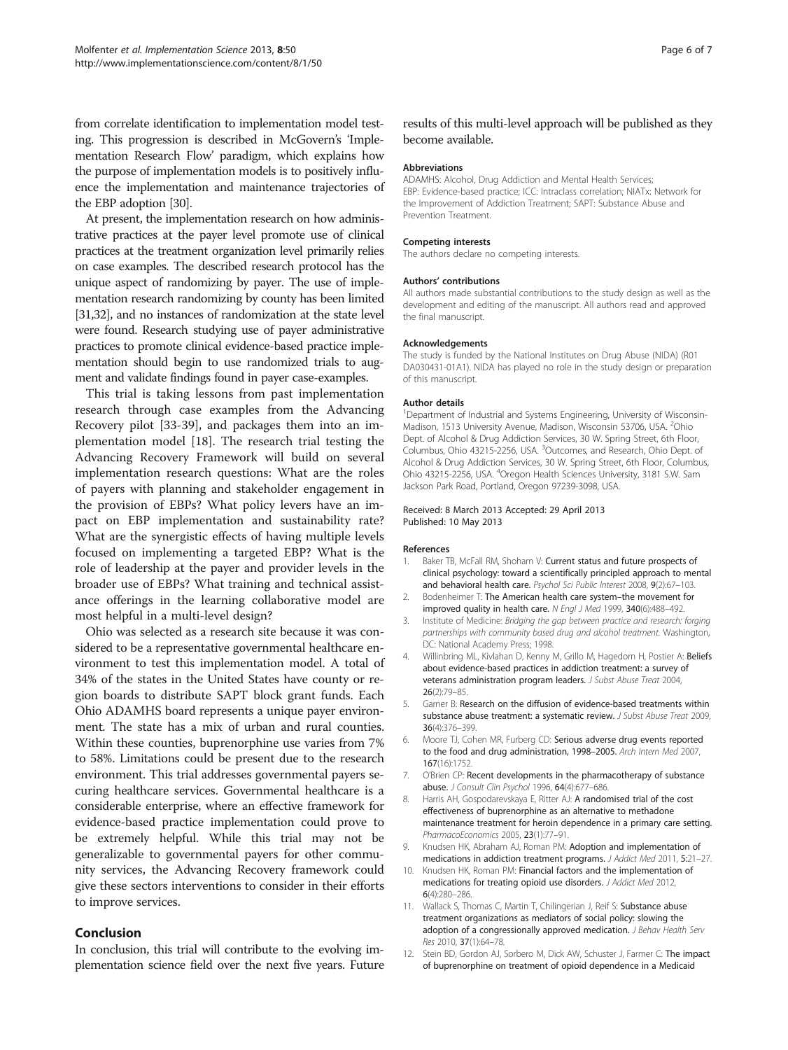<span id="page-5-0"></span>from correlate identification to implementation model testing. This progression is described in McGovern's 'Implementation Research Flow' paradigm, which explains how the purpose of implementation models is to positively influence the implementation and maintenance trajectories of the EBP adoption [\[30](#page-6-0)].

At present, the implementation research on how administrative practices at the payer level promote use of clinical practices at the treatment organization level primarily relies on case examples. The described research protocol has the unique aspect of randomizing by payer. The use of implementation research randomizing by county has been limited [[31,32](#page-6-0)], and no instances of randomization at the state level were found. Research studying use of payer administrative practices to promote clinical evidence-based practice implementation should begin to use randomized trials to augment and validate findings found in payer case-examples.

This trial is taking lessons from past implementation research through case examples from the Advancing Recovery pilot [[33-39](#page-6-0)], and packages them into an implementation model [[18\]](#page-6-0). The research trial testing the Advancing Recovery Framework will build on several implementation research questions: What are the roles of payers with planning and stakeholder engagement in the provision of EBPs? What policy levers have an impact on EBP implementation and sustainability rate? What are the synergistic effects of having multiple levels focused on implementing a targeted EBP? What is the role of leadership at the payer and provider levels in the broader use of EBPs? What training and technical assistance offerings in the learning collaborative model are most helpful in a multi-level design?

Ohio was selected as a research site because it was considered to be a representative governmental healthcare environment to test this implementation model. A total of 34% of the states in the United States have county or region boards to distribute SAPT block grant funds. Each Ohio ADAMHS board represents a unique payer environment. The state has a mix of urban and rural counties. Within these counties, buprenorphine use varies from 7% to 58%. Limitations could be present due to the research environment. This trial addresses governmental payers securing healthcare services. Governmental healthcare is a considerable enterprise, where an effective framework for evidence-based practice implementation could prove to be extremely helpful. While this trial may not be generalizable to governmental payers for other community services, the Advancing Recovery framework could give these sectors interventions to consider in their efforts to improve services.

# Conclusion

In conclusion, this trial will contribute to the evolving implementation science field over the next five years. Future

results of this multi-level approach will be published as they become available.

#### Abbreviations

ADAMHS: Alcohol, Drug Addiction and Mental Health Services; EBP: Evidence-based practice; ICC: Intraclass correlation; NIATx: Network for the Improvement of Addiction Treatment; SAPT: Substance Abuse and Prevention Treatment.

#### Competing interests

The authors declare no competing interests.

#### Authors' contributions

All authors made substantial contributions to the study design as well as the development and editing of the manuscript. All authors read and approved the final manuscript.

#### Acknowledgements

The study is funded by the National Institutes on Drug Abuse (NIDA) (R01 DA030431-01A1). NIDA has played no role in the study design or preparation of this manuscript.

#### Author details

<sup>1</sup>Department of Industrial and Systems Engineering, University of Wisconsin-Madison, 1513 University Avenue, Madison, Wisconsin 53706, USA. <sup>2</sup>Ohio Dept. of Alcohol & Drug Addiction Services, 30 W. Spring Street, 6th Floor, Columbus, Ohio 43215-2256, USA. <sup>3</sup>Outcomes, and Research, Ohio Dept. of Alcohol & Drug Addiction Services, 30 W. Spring Street, 6th Floor, Columbus, Ohio 43215-2256, USA. <sup>4</sup>Oregon Health Sciences University, 3181 S.W. Sam Jackson Park Road, Portland, Oregon 97239-3098, USA.

#### Received: 8 March 2013 Accepted: 29 April 2013 Published: 10 May 2013

#### References

- 1. Baker TB, McFall RM, Shoham V: Current status and future prospects of clinical psychology: toward a scientifically principled approach to mental and behavioral health care. Psychol Sci Public Interest 2008, 9(2):67–103.
- 2. Bodenheimer T: The American health care system–the movement for improved quality in health care. N Engl J Med 1999, 340(6):488–492.
- 3. Institute of Medicine: Bridging the gap between practice and research: forging partnerships with community based drug and alcohol treatment. Washington, DC: National Academy Press; 1998.
- 4. Willinbring ML, Kivlahan D, Kenny M, Grillo M, Hagedorn H, Postier A: Beliefs about evidence-based practices in addiction treatment: a survey of veterans administration program leaders. J Subst Abuse Treat 2004, 26(2):79–85.
- 5. Garner B: Research on the diffusion of evidence-based treatments within substance abuse treatment: a systematic review. J Subst Abuse Treat 2009, 36(4):376–399.
- 6. Moore TJ, Cohen MR, Furberg CD: Serious adverse drug events reported to the food and drug administration, 1998–2005. Arch Intern Med 2007, 167(16):1752.
- 7. O'Brien CP: Recent developments in the pharmacotherapy of substance abuse. J Consult Clin Psychol 1996, 64(4):677–686.
- 8. Harris AH, Gospodarevskaya E, Ritter AJ: A randomised trial of the cost effectiveness of buprenorphine as an alternative to methadone maintenance treatment for heroin dependence in a primary care setting. PharmacoEconomics 2005, 23(1):77–91.
- 9. Knudsen HK, Abraham AJ, Roman PM: Adoption and implementation of medications in addiction treatment programs. J Addict Med 2011, 5:21–27.
- 10. Knudsen HK, Roman PM: Financial factors and the implementation of medications for treating opioid use disorders. J Addict Med 2012, 6(4):280–286.
- 11. Wallack S, Thomas C, Martin T, Chilingerian J, Reif S: Substance abuse treatment organizations as mediators of social policy: slowing the adoption of a congressionally approved medication. J Behav Health Serv Res 2010, 37(1):64–78.
- 12. Stein BD, Gordon AJ, Sorbero M, Dick AW, Schuster J, Farmer C: The impact of buprenorphine on treatment of opioid dependence in a Medicaid